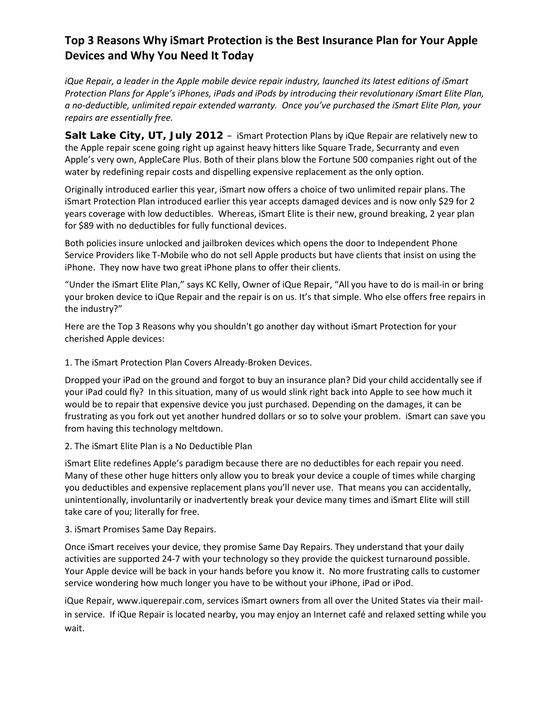## **Top 3 Reasons Why iSmart Protection is the Best Insurance Plan for Your Apple Devices and Why You Need It Today**

*iQue Repair, a leader in the Apple mobile device repair industry, launched its latest editions of iSmart Protection Plans for Apple's iPhones, iPads and iPods by introducing their revolutionary iSmart Elite Plan, a no-deductible, unlimited repair extended warranty. Once you've purchased the iSmart Elite Plan, your repairs are essentially free.*

**Salt Lake City, UT, July 2012** – iSmart Protection Plans by iQue Repair are relatively new to the Apple repair scene going right up against heavy hitters like Square Trade, Securranty and even Apple's very own, AppleCare Plus. Both of their plans blow the Fortune 500 companies right out of the water by redefining repair costs and dispelling expensive replacement as the only option.

Originally introduced earlier this year, iSmart now offers a choice of two unlimited repair plans. The iSmart Protection Plan introduced earlier this year accepts damaged devices and is now only \$29 for 2 years coverage with low deductibles. Whereas, iSmart Elite is their new, ground breaking, 2 year plan for \$89 with no deductibles for fully functional devices.

Both policies insure unlocked and jailbroken devices which opens the door to Independent Phone Service Providers like T-Mobile who do not sell Apple products but have clients that insist on using the iPhone. They now have two great iPhone plans to offer their clients.

"Under the iSmart Elite Plan," says KC Kelly, Owner of iQue Repair, "All you have to do is mail-in or bring your broken device to iQue Repair and the repair is on us. It's that simple. Who else offers free repairs in the industry?"

Here are the Top 3 Reasons why you shouldn't go another day without iSmart Protection for your cherished Apple devices:

## 1. The iSmart Protection Plan Covers Already-Broken Devices.

Dropped your iPad on the ground and forgot to buy an insurance plan? Did your child accidentally see if your iPad could fly? In this situation, many of us would slink right back into Apple to see how much it would be to repair that expensive device you just purchased. Depending on the damages, it can be frustrating as you fork out yet another hundred dollars or so to solve your problem. iSmart can save you from having this technology meltdown.

## 2. The iSmart Elite Plan is a No Deductible Plan

iSmart Elite redefines Apple's paradigm because there are no deductibles for each repair you need. Many of these other huge hitters only allow you to break your device a couple of times while charging you deductibles and expensive replacement plans you'll never use. That means you can accidentally, unintentionally, involuntarily or inadvertently break your device many times and iSmart Elite will still take care of you; literally for free.

## 3. iSmart Promises Same Day Repairs.

Once iSmart receives your device, they promise Same Day Repairs. They understand that your daily activities are supported 24-7 with your technology so they provide the quickest turnaround possible. Your Apple device will be back in your hands before you know it. No more frustrating calls to customer service wondering how much longer you have to be without your iPhone, iPad or iPod.

iQue Repair, [www.iquerepair.com,](http://www.iquerepair.com/) services iSmart owners from all over the United States via their mailin service. If iQue Repair is located nearby, you may enjoy an Internet café and relaxed setting while you wait.